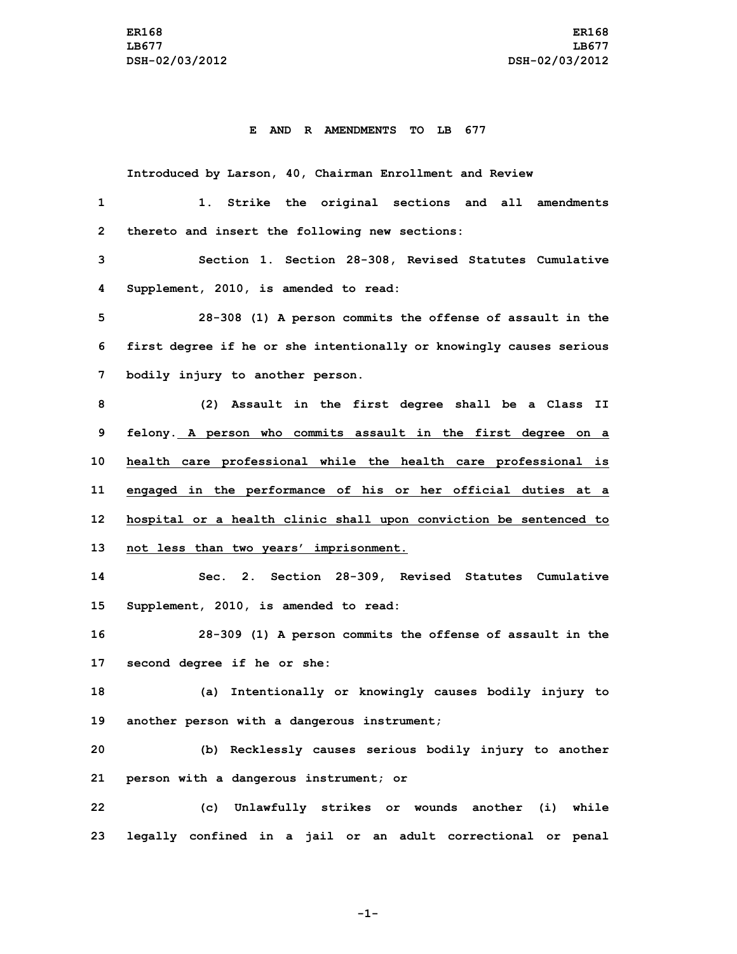## **E AND R AMENDMENTS TO LB 677**

**Introduced by Larson, 40, Chairman Enrollment and Review**

| $\mathbf{1}$ | 1. Strike the original sections and all amendments                  |
|--------------|---------------------------------------------------------------------|
| $\mathbf{2}$ | thereto and insert the following new sections:                      |
| 3            | Section 1. Section 28-308, Revised Statutes Cumulative              |
| 4            | Supplement, 2010, is amended to read:                               |
| 5            | 28-308 (1) A person commits the offense of assault in the           |
| 6            | first degree if he or she intentionally or knowingly causes serious |
| 7            | bodily injury to another person.                                    |
| 8            | (2) Assault in the first degree shall be a Class II                 |
| 9            | felony. A person who commits assault in the first degree on a       |
| 10           | health care professional while the health care professional is      |
| 11           | engaged in the performance of his or her official duties at a       |
| 12           | hospital or a health clinic shall upon conviction be sentenced to   |
| 13           | not less than two years' imprisonment.                              |
| 14           | Sec. 2. Section 28-309, Revised Statutes Cumulative                 |
| 15           | Supplement, 2010, is amended to read:                               |
| 16           | 28-309 (1) A person commits the offense of assault in the           |
| 17           | second degree if he or she:                                         |
| 18           | (a) Intentionally or knowingly causes bodily injury to              |
| 19           | another person with a dangerous instrument;                         |
| 20           | (b) Recklessly causes serious bodily injury to another              |
| 21           | person with a dangerous instrument; or                              |
| 22           | (c) Unlawfully strikes or wounds another (i) while                  |
| 23           | legally confined in a jail or an adult correctional or penal        |

**-1-**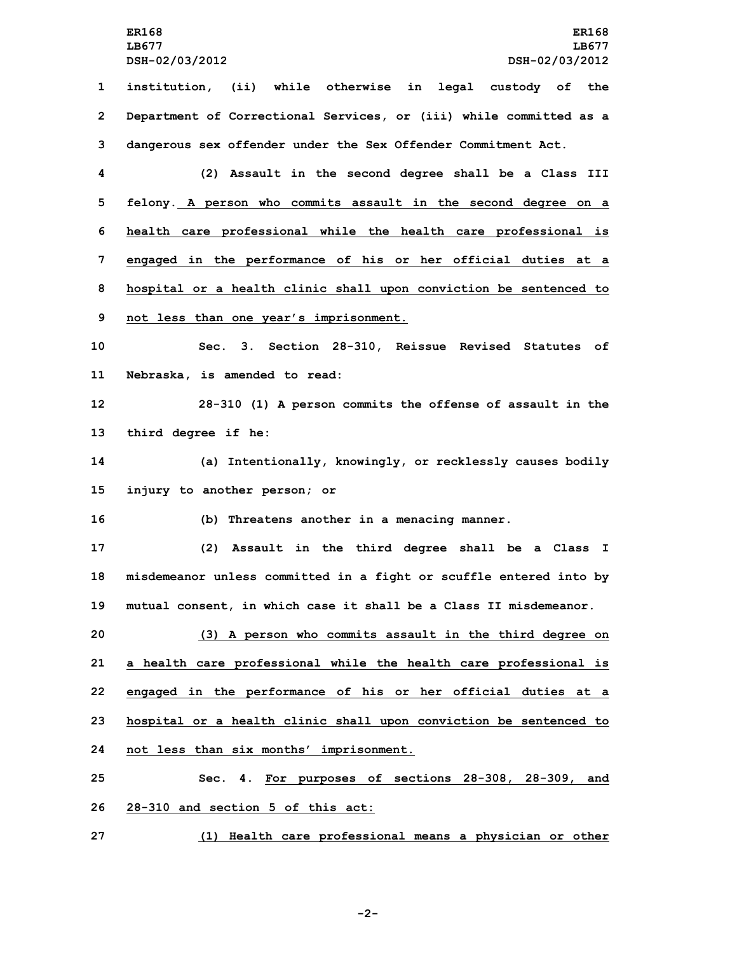**LB677 LB677 DSH-02/03/2012 DSH-02/03/2012 institution, (ii) while otherwise in legal custody of the Department of Correctional Services, or (iii) while committed as <sup>a</sup> dangerous sex offender under the Sex Offender Commitment Act. (2) Assault in the second degree shall be <sup>a</sup> Class III felony. A person who commits assault in the second degree on <sup>a</sup> health care professional while the health care professional is engaged in the performance of his or her official duties at <sup>a</sup> hospital or <sup>a</sup> health clinic shall upon conviction be sentenced to not less than one year's imprisonment. Sec. 3. Section 28-310, Reissue Revised Statutes of Nebraska, is amended to read: 28-310 (1) <sup>A</sup> person commits the offense of assault in the third degree if he: (a) Intentionally, knowingly, or recklessly causes bodily injury to another person; or (b) Threatens another in <sup>a</sup> menacing manner. (2) Assault in the third degree shall be <sup>a</sup> Class <sup>I</sup> misdemeanor unless committed in <sup>a</sup> fight or scuffle entered into by mutual consent, in which case it shall be <sup>a</sup> Class II misdemeanor. (3) <sup>A</sup> person who commits assault in the third degree on <sup>a</sup> health care professional while the health care professional is**

**23 hospital or <sup>a</sup> health clinic shall upon conviction be sentenced to 24 not less than six months' imprisonment.**

**22 engaged in the performance of his or her official duties at <sup>a</sup>**

**25 Sec. 4. For purposes of sections 28-308, 28-309, and 26 28-310 and section 5 of this act:**

**27 (1) Health care professional means <sup>a</sup> physician or other**

**-2-**